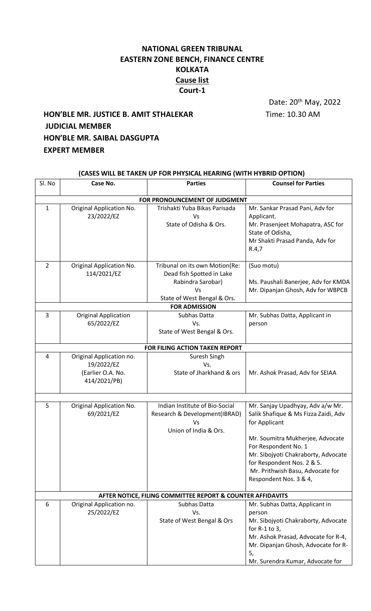## **NATIONAL GREEN TRIBUNAL EASTERN ZONE BENCH, FINANCE CENTRE KOLKATA Cause list Court-1**

Date: 20th May, 2022

# **HON'BLE MR. JUSTICE B. AMIT STHALEKAR** Time: 10.30 AM **JUDICIAL MEMBER HON'BLE MR. SAIBAL DASGUPTA EXPERT MEMBER**

| (CASES WILL BE TAKEN UP FOR PHYSICAL HEARING (WITH HYBRID OPTION) |                                                                             |                                                                                                                       |                                                                                                                                                                                                                                                                                          |  |  |
|-------------------------------------------------------------------|-----------------------------------------------------------------------------|-----------------------------------------------------------------------------------------------------------------------|------------------------------------------------------------------------------------------------------------------------------------------------------------------------------------------------------------------------------------------------------------------------------------------|--|--|
| Sl. No                                                            | Case No.                                                                    | <b>Parties</b>                                                                                                        | <b>Counsel for Parties</b>                                                                                                                                                                                                                                                               |  |  |
|                                                                   |                                                                             | FOR PRONOUNCEMENT OF JUDGMENT                                                                                         |                                                                                                                                                                                                                                                                                          |  |  |
| $\mathbf{1}$                                                      | Original Application No.<br>23/2022/EZ                                      | Trishakti Yuba Bikas Parisada<br>Vs<br>State of Odisha & Ors.                                                         | Mr. Sankar Prasad Pani, Adv for<br>Applicant.<br>Mr. Prasenjeet Mohapatra, ASC for<br>State of Odisha,<br>Mr Shakti Prasad Panda, Adv for<br>R.4,7                                                                                                                                       |  |  |
| 2                                                                 | Original Application No.<br>114/2021/EZ                                     | Tribunal on its own Motion(Re:<br>Dead fish Spotted in Lake<br>Rabindra Sarobar)<br>Vs<br>State of West Bengal & Ors. | (Suo motu)<br>Ms. Paushali Banerjee, Adv for KMDA<br>Mr. Dipanjan Ghosh, Adv for WBPCB                                                                                                                                                                                                   |  |  |
|                                                                   |                                                                             | <b>FOR ADMISSION</b>                                                                                                  |                                                                                                                                                                                                                                                                                          |  |  |
| 3                                                                 | <b>Original Application</b><br>65/2022/EZ                                   | Subhas Datta<br>Vs.<br>State of West Bengal & Ors.                                                                    | Mr. Subhas Datta, Applicant in<br>person                                                                                                                                                                                                                                                 |  |  |
|                                                                   |                                                                             | FOR FILING ACTION TAKEN REPORT                                                                                        |                                                                                                                                                                                                                                                                                          |  |  |
| 4                                                                 | Original Application no.<br>19/2022/EZ<br>(Earlier O.A. No.<br>414/2021/PB) | Suresh Singh<br>Vs.<br>State of Jharkhand & ors                                                                       | Mr. Ashok Prasad, Adv for SEIAA                                                                                                                                                                                                                                                          |  |  |
| 5                                                                 | Original Application No.<br>69/2021/EZ                                      | Indian Institute of Bio-Social<br>Research & Development(IBRAD)<br>Vs<br>Union of India & Ors.                        | Mr. Sanjay Upadhyay, Adv a/w Mr.<br>Salik Shafique & Ms Fizza Zaidi, Adv<br>for Applicant<br>Mr. Soumitra Mukherjee, Advocate<br>For Respondent No. 1<br>Mr. Sibojyoti Chakraborty, Advocate<br>for Respondent Nos. 2 & 5.<br>Mr. Prithwish Basu, Advocate for<br>Respondent Nos. 3 & 4, |  |  |
|                                                                   |                                                                             | AFTER NOTICE, FILING COMMITTEE REPORT & COUNTER AFFIDAVITS                                                            |                                                                                                                                                                                                                                                                                          |  |  |
| 6                                                                 | Original Application no.<br>25/2022/EZ                                      | Subhas Datta<br>Vs.<br>State of West Bengal & Ors                                                                     | Mr. Subhas Datta, Applicant in<br>person<br>Mr. Sibojyoti Chakraborty, Advocate<br>for $R-1$ to 3,<br>Mr. Ashok Prasad, Advocate for R-4,<br>Mr. Dipanjan Ghosh, Advocate for R-<br>5,<br>Mr. Surendra Kumar, Advocate for                                                               |  |  |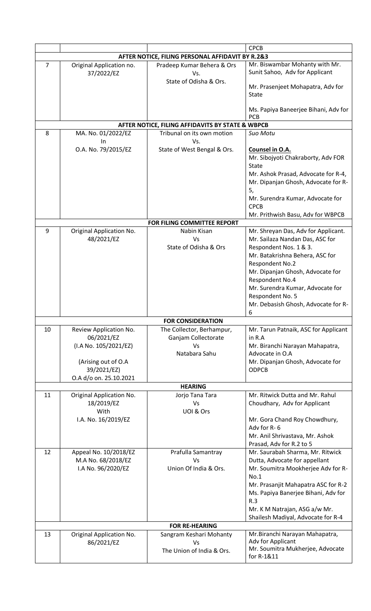|                |                                                                                                     |                                                                                                     | <b>CPCB</b>                                                                                                                                                                                                                                                                                                  |  |  |  |
|----------------|-----------------------------------------------------------------------------------------------------|-----------------------------------------------------------------------------------------------------|--------------------------------------------------------------------------------------------------------------------------------------------------------------------------------------------------------------------------------------------------------------------------------------------------------------|--|--|--|
|                | AFTER NOTICE, FILING PERSONAL AFFIDAVIT BY R.2&3                                                    |                                                                                                     |                                                                                                                                                                                                                                                                                                              |  |  |  |
| $\overline{7}$ | Original Application no.<br>37/2022/EZ                                                              | Pradeep Kumar Behera & Ors<br>Vs.<br>State of Odisha & Ors.                                         | Mr. Biswambar Mohanty with Mr.<br>Sunit Sahoo, Adv for Applicant<br>Mr. Prasenjeet Mohapatra, Adv for<br><b>State</b>                                                                                                                                                                                        |  |  |  |
|                |                                                                                                     |                                                                                                     | Ms. Papiya Baneerjee Bihani, Adv for<br><b>PCB</b>                                                                                                                                                                                                                                                           |  |  |  |
|                |                                                                                                     | AFTER NOTICE, FILING AFFIDAVITS BY STATE & WBPCB                                                    |                                                                                                                                                                                                                                                                                                              |  |  |  |
| 8              | MA. No. 01/2022/EZ<br>In                                                                            | Tribunal on its own motion<br>Vs.                                                                   | Suo Motu                                                                                                                                                                                                                                                                                                     |  |  |  |
|                | O.A. No. 79/2015/EZ                                                                                 | State of West Bengal & Ors.                                                                         | Counsel in O.A.<br>Mr. Sibojyoti Chakraborty, Adv FOR<br><b>State</b><br>Mr. Ashok Prasad, Advocate for R-4,<br>Mr. Dipanjan Ghosh, Advocate for R-<br>5,<br>Mr. Surendra Kumar, Advocate for<br><b>CPCB</b><br>Mr. Prithwish Basu, Adv for WBPCB                                                            |  |  |  |
|                |                                                                                                     | FOR FILING COMMITTEE REPORT                                                                         |                                                                                                                                                                                                                                                                                                              |  |  |  |
| 9              | Original Application No.<br>48/2021/EZ                                                              | Nabin Kisan<br>Vs<br>State of Odisha & Ors                                                          | Mr. Shreyan Das, Adv for Applicant.<br>Mr. Sailaza Nandan Das, ASC for<br>Respondent Nos. 1 & 3.<br>Mr. Batakrishna Behera, ASC for<br>Respondent No.2<br>Mr. Dipanjan Ghosh, Advocate for<br>Respondent No.4<br>Mr. Surendra Kumar, Advocate for<br>Respondent No. 5<br>Mr. Debasish Ghosh, Advocate for R- |  |  |  |
|                |                                                                                                     |                                                                                                     | 6                                                                                                                                                                                                                                                                                                            |  |  |  |
| 10             | Review Application No.<br>06/2021/EZ<br>(I.A No. 105/2021/EZ)<br>(Arising out of O.A<br>39/2021/EZ) | <b>FOR CONSIDERATION</b><br>The Collector, Berhampur,<br>Ganjam Collectorate<br>Vs<br>Natabara Sahu | Mr. Tarun Patnaik, ASC for Applicant<br>in R.A<br>Mr. Biranchi Narayan Mahapatra,<br>Advocate in O.A<br>Mr. Dipanjan Ghosh, Advocate for<br><b>ODPCB</b>                                                                                                                                                     |  |  |  |
|                | O.A d/o on. 25.10.2021                                                                              |                                                                                                     |                                                                                                                                                                                                                                                                                                              |  |  |  |
| 11             | Original Application No.<br>18/2019/EZ<br>With<br>I.A. No. 16/2019/EZ                               | <b>HEARING</b><br>Jorjo Tana Tara<br>Vs<br>UOI & Ors                                                | Mr. Ritwick Dutta and Mr. Rahul<br>Choudhary, Adv for Applicant<br>Mr. Gora Chand Roy Chowdhury,<br>Adv for R-6<br>Mr. Anil Shrivastava, Mr. Ashok<br>Prasad, Adv for R.2 to 5                                                                                                                               |  |  |  |
| 12             | Appeal No. 10/2018/EZ<br>M.A No. 68/2018/EZ<br>I.A No. 96/2020/EZ                                   | Prafulla Samantray<br>Vs<br>Union Of India & Ors.                                                   | Mr. Saurabah Sharma, Mr. Ritwick<br>Dutta, Advocate for appellant<br>Mr. Soumitra Mookherjee Adv for R-<br>No.1<br>Mr. Prasanjit Mahapatra ASC for R-2<br>Ms. Papiya Banerjee Bihani, Adv for<br>R.3<br>Mr. K M Natrajan, ASG a/w Mr.<br>Shailesh Madiyal, Advocate for R-4                                  |  |  |  |
|                |                                                                                                     | <b>FOR RE-HEARING</b>                                                                               |                                                                                                                                                                                                                                                                                                              |  |  |  |
| 13             | Original Application No.<br>86/2021/EZ                                                              | Sangram Keshari Mohanty<br>Vs<br>The Union of India & Ors.                                          | Mr.Biranchi Narayan Mahapatra,<br>Adv for Applicant<br>Mr. Soumitra Mukherjee, Advocate<br>for R-1&11                                                                                                                                                                                                        |  |  |  |